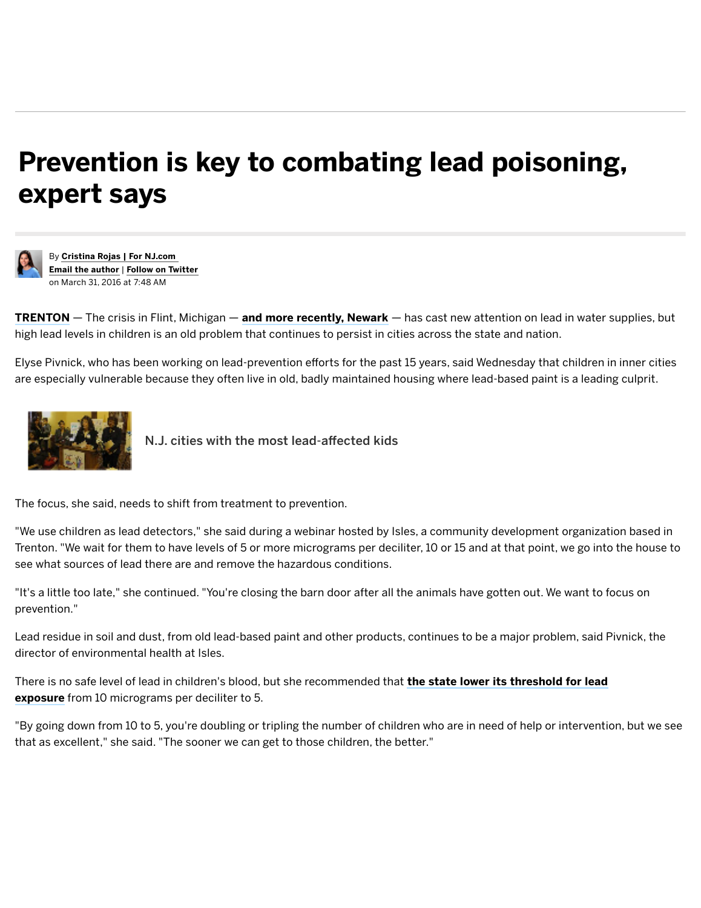## Prevention is key to combating lead poisoning, expert says



[B](http://cloud.siteencore.com/v1/loading.html#rotftwetu=aHR0cCUzQS8vd3d3Lm5qLmNvbS9tZXJjZXIvaW5kZXguc3NmLzIwMTYvMDMvcHJldmVudGlvbl9pc19rZXlfdG9fY29tYmF0aW5nX2xlYWRfcG9pc29uaW5nX2V4cGUuaHRtbA%3D%3D&ibothsahtrtd=aHR0cCUzQS8vY29ubmVjdC5uai5jb20vdXNlci9jcm9qYXN0dC9pbmRleC5odG1s&shtlp=aHR0cCUzQS8vd3d3Lm5qLmNvbS9tZXJjZXIvaW5kZXguc3NmLzIwMTYvMDMvcHJldmVudGlvbl9pc19rZXlfdG9fY29tYmF0aW5nX2xlYWRfcG9pc29uaW5nX2V4cGUuaHRtbA%3D%3D&otisu=aHR0cCUzQS8vd3d3LnNpdGVlbmNvcmUuY29tL0FkdmFuY2VOZXQvTkovTkpBTTEzMS9pbmRleC5odG1s&x=-3&y=5&w=1284&h=814&t=14595188196851&tokenID=AFGM2P8VAKL1T1OPNHUX6A1C1MF32AAT&s=c2l0ZWVuY29yZS5jb20%3D)y [Cristina](http://cloud.siteencore.com/v1/loading.html#rotftwetu=aHR0cCUzQS8vd3d3Lm5qLmNvbS9tZXJjZXIvaW5kZXguc3NmLzIwMTYvMDMvcHJldmVudGlvbl9pc19rZXlfdG9fY29tYmF0aW5nX2xlYWRfcG9pc29uaW5nX2V4cGUuaHRtbA%3D%3D&ibothsahtrtd=aHR0cCUzQS8vY29ubmVjdC5uai5jb20vdXNlci9jcm9qYXN0dC9wb3N0cy5odG1s&shtlp=aHR0cCUzQS8vd3d3Lm5qLmNvbS9tZXJjZXIvaW5kZXguc3NmLzIwMTYvMDMvcHJldmVudGlvbl9pc19rZXlfdG9fY29tYmF0aW5nX2xlYWRfcG9pc29uaW5nX2V4cGUuaHRtbA%3D%3D&otisu=aHR0cCUzQS8vd3d3LnNpdGVlbmNvcmUuY29tL0FkdmFuY2VOZXQvTkovTkpBTTEzMS9pbmRleC5odG1s&x=-3&y=5&w=1284&h=814&t=14595188196851&tokenID=AFGM2P8VAKL1T1OPNHUX6A1C1MF32AAT&s=c2l0ZWVuY29yZS5jb20%3D) Rojas | For NJ.com Email the author | Follow on [Twitter](http://cloud.siteencore.com/v1/loading.html#rotftwetu=aHR0cCUzQS8vd3d3Lm5qLmNvbS9tZXJjZXIvaW5kZXguc3NmLzIwMTYvMDMvcHJldmVudGlvbl9pc19rZXlfdG9fY29tYmF0aW5nX2xlYWRfcG9pc29uaW5nX2V4cGUuaHRtbA%3D%3D&ibothsahtrtd=aHR0cHMlM0EvL3R3aXR0ZXIuY29tL0NyaXN0aW5hUm9qYXNUVA%3D%3D&shtlp=aHR0cCUzQS8vd3d3Lm5qLmNvbS9tZXJjZXIvaW5kZXguc3NmLzIwMTYvMDMvcHJldmVudGlvbl9pc19rZXlfdG9fY29tYmF0aW5nX2xlYWRfcG9pc29uaW5nX2V4cGUuaHRtbA%3D%3D&otisu=aHR0cCUzQS8vd3d3LnNpdGVlbmNvcmUuY29tL0FkdmFuY2VOZXQvTkovTkpBTTEzMS9pbmRleC5odG1s&x=-3&y=5&w=1284&h=814&t=14595188196861&tokenID=AFGM2P8VAKL1T1OPNHUX6A1C1MF32AAT&s=c2l0ZWVuY29yZS5jb20%3D) on March 31, 2016 at 7:48 AM

**[TRENTON](http://cloud.siteencore.com/v1/loading.html#rotftwetu=aHR0cCUzQS8vd3d3Lm5qLmNvbS9tZXJjZXIvaW5kZXguc3NmLzIwMTYvMDMvcHJldmVudGlvbl9pc19rZXlfdG9fY29tYmF0aW5nX2xlYWRfcG9pc29uaW5nX2V4cGUuaHRtbA%3D%3D&ibothsahtrtd=aHR0cCUzQS8vd3d3Lm5qLmNvbS9tZXJjZXI%3D&shtlp=aHR0cCUzQS8vd3d3Lm5qLmNvbS9tZXJjZXIvaW5kZXguc3NmLzIwMTYvMDMvcHJldmVudGlvbl9pc19rZXlfdG9fY29tYmF0aW5nX2xlYWRfcG9pc29uaW5nX2V4cGUuaHRtbA%3D%3D&otisu=aHR0cCUzQS8vd3d3LnNpdGVlbmNvcmUuY29tL0FkdmFuY2VOZXQvTkovTkpBTTEzMS9pbmRleC5odG1s&x=-3&y=5&w=1284&h=814&t=14595188196861&tokenID=AFGM2P8VAKL1T1OPNHUX6A1C1MF32AAT&s=c2l0ZWVuY29yZS5jb20%3D)** — The crisis in Flint, Michigan — **and more [recently,](http://cloud.siteencore.com/v1/loading.html#rotftwetu=aHR0cCUzQS8vd3d3Lm5qLmNvbS9tZXJjZXIvaW5kZXguc3NmLzIwMTYvMDMvcHJldmVudGlvbl9pc19rZXlfdG9fY29tYmF0aW5nX2xlYWRfcG9pc29uaW5nX2V4cGUuaHRtbA%3D%3D&ibothsahtrtd=aHR0cCUzQS8vd3d3Lm5qLmNvbS9lc3NleC9pbmRleC5zc2YvMjAxNi8wMy9sYXdfY2VudGVyX3N0YXRlX2lzX29ibGlnYXRlZF90b19wYXlfZm9yX25ld2Fya19zYy5odG1s&shtlp=aHR0cCUzQS8vd3d3Lm5qLmNvbS9tZXJjZXIvaW5kZXguc3NmLzIwMTYvMDMvcHJldmVudGlvbl9pc19rZXlfdG9fY29tYmF0aW5nX2xlYWRfcG9pc29uaW5nX2V4cGUuaHRtbA%3D%3D&otisu=aHR0cCUzQS8vd3d3LnNpdGVlbmNvcmUuY29tL0FkdmFuY2VOZXQvTkovTkpBTTEzMS9pbmRleC5odG1s&x=-3&y=5&w=1284&h=814&t=14595188196871&tokenID=AFGM2P8VAKL1T1OPNHUX6A1C1MF32AAT&s=c2l0ZWVuY29yZS5jb20%3D) Newark** — has cast new attention on lead in water supplies, but high lead levels in children is an old problem that continues to persist in cities across the state and nation.

Elyse Pivnick, who has been working on lead‑prevention efforts for the past 15 years, said Wednesday that children in inner cities are especially vulnerable because they often live in old, badly maintained housing where lead-based paint is a leading culprit.



N.J. cities with the most [lead‑affected](http://www.nj.com/news/index.ssf/2016/02/11_cities_in_jersey_have_more_lead-affected_kids_t.html#incart_article_small) kids

The focus, she said, needs to shift from treatment to prevention.

"We use children as lead detectors," she said during a webinar hosted by Isles, a community development organization based in Trenton. "We wait for them to have levels of 5 or more micrograms per deciliter, 10 or 15 and at that point, we go into the house to see what sources of lead there are and remove the hazardous conditions.

"It's a little too late," she continued. "You're closing the barn door after all the animals have gotten out. We want to focus on prevention."

Lead residue in soil and dust, from old lead-based paint and other products, continues to be a major problem, said Pivnick, the director of environmental health at Isles.

There is no safe level of lead in children's blood, but she [recommended](http://cloud.siteencore.com/v1/loading.html#rotftwetu=aHR0cCUzQS8vd3d3Lm5qLmNvbS9tZXJjZXIvaW5kZXguc3NmLzIwMTYvMDMvcHJldmVudGlvbl9pc19rZXlfdG9fY29tYmF0aW5nX2xlYWRfcG9pc29uaW5nX2V4cGUuaHRtbA%3D%3D&ibothsahtrtd=aHR0cCUzQS8vd3d3Lm5qLmNvbS9wb2xpdGljcy9pbmRleC5zc2YvMjAxNi8wMy9sYXdtYWtlcnNfdm93X3RvX2Z1bmRfdGVzdGluZ19pbl9raWRzX2FiYXRlbWVudF9vZi5odG1s&shtlp=aHR0cCUzQS8vd3d3Lm5qLmNvbS9tZXJjZXIvaW5kZXguc3NmLzIwMTYvMDMvcHJldmVudGlvbl9pc19rZXlfdG9fY29tYmF0aW5nX2xlYWRfcG9pc29uaW5nX2V4cGUuaHRtbA%3D%3D&otisu=aHR0cCUzQS8vd3d3LnNpdGVlbmNvcmUuY29tL0FkdmFuY2VOZXQvTkovTkpBTTEzMS9pbmRleC5odG1s&x=-3&y=5&w=1284&h=814&t=14595188196871&tokenID=AFGM2P8VAKL1T1OPNHUX6A1C1MF32AAT&s=c2l0ZWVuY29yZS5jb20%3D) that the state lower its threshold for lead exposure from 10 micrograms per deciliter to 5.

"By going down from 10 to 5, you're doubling or tripling the number of children who are in need of help or intervention, but we see that as excellent," she said. "The sooner we can get to those children, the better."